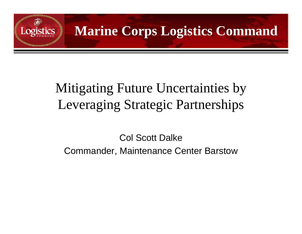

## Mitigating Future Uncertainties by Leveraging Strategic Partnerships

Col Scott DalkeCommander, Maintenance Center Barstow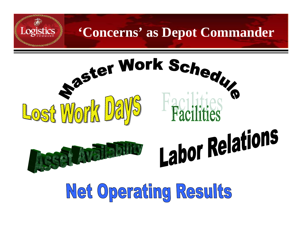

Net Operating Results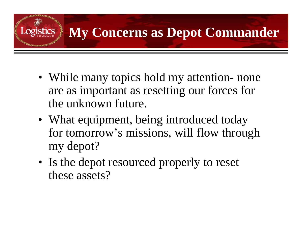

- While many topics hold my attention- none are as important as resetting our forces for the unknown future.
- What equipment, being introduced today for tomorrow's missions, will flow through my depot?
- Is the depot resourced properly to reset these assets?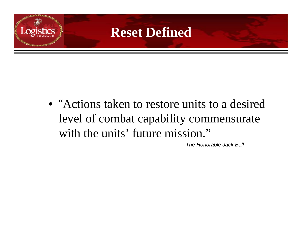

• "Actions taken to restore units to a desired level of combat capability commensurate with the units' future mission."

*The Honorable Jack Bell*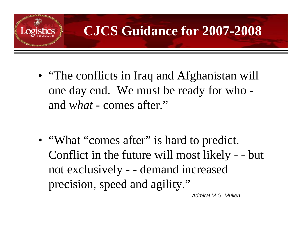

• "The conflicts in Iraq and Afghanistan will one day end. We must be ready for who and *what* - comes after."

• "What "comes after" is hard to predict. Conflict in the future will most likely - - but not exclusively - - demand increased precision, speed and agility."

*Admiral M.G. Mullen*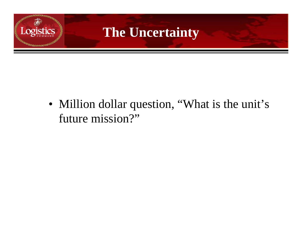

• Million dollar question, "What is the unit's future mission?"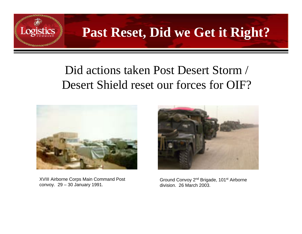

## **Past Reset, Did we Get it Right?**

#### Did actions taken Post Desert Storm / Desert Shield reset our forces for OIF?



XVIII Airborne Corps Main Command Post convoy. 29 – 30 January 1991.



Ground Convoy 2nd Brigade, 101st Airborne division. 26 March 2003.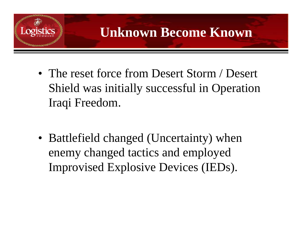

• The reset force from Desert Storm / Desert Shield was initially successful in Operation Iraqi Freedom.

• Battlefield changed (Uncertainty) when enemy changed tactics and employed Improvised Explosive Devices (IEDs).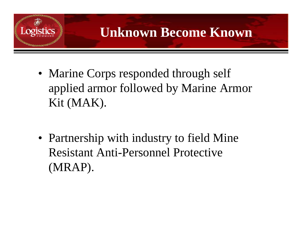

- Marine Corps responded through self applied armor followed by Marine Armor Kit (MAK).
- Partnership with industry to field Mine Resistant Anti-Personnel Protective (MRAP).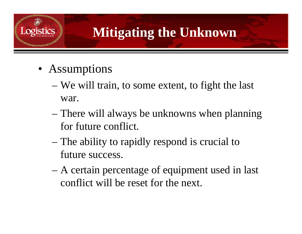

# **Mitigating the Unknown**

- Assumptions
	- We will train, to some extent, to fight the last war.
	- – There will always be unknowns when planning for future conflict.
	- – The ability to rapidly respond is crucial to future success.
	- A certain percentage of equipment used in last conflict will be reset for the next.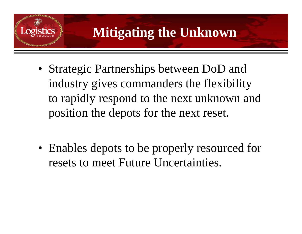

### **Mitigating the Unknown**

• Strategic Partnerships between DoD and industry gives commanders the flexibility to rapidly respond to the next unknown and position the depots for the next reset.

• Enables depots to be properly resourced for resets to meet Future Uncertainties.